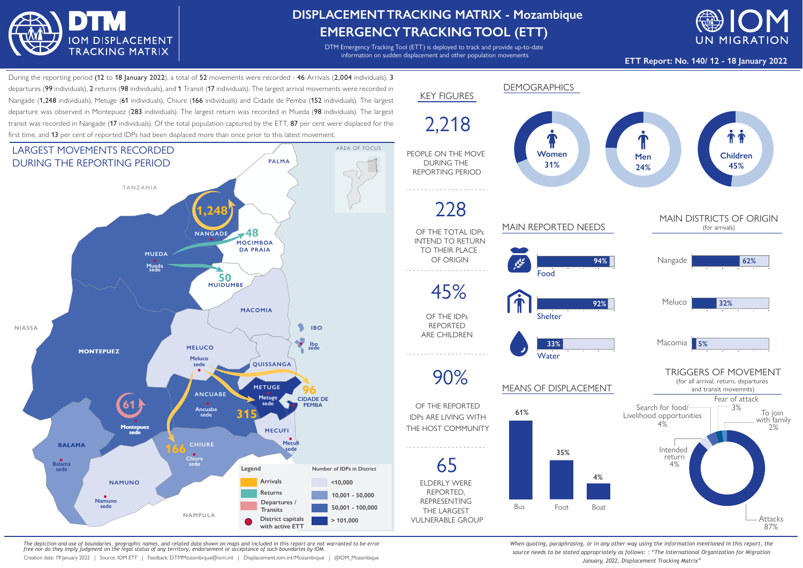

## **DISPLACEMENTTRACKING MATRIX - Mozambique EMERGENCYTRACKINGTOOL (ETT)**

DTM Emergency Tracking Tool (ETT) is deployed to track and provide up-to-date information on sudden displacement and other population movements



**ETT Report: No. 140/ 12 - 18 January 2022**

During the reporting period (12 to 18 January 2022), a total of 52 movements were recorded - 46 Arrivals (2,004 individuals). 3 departures (99 individuals), 2 returns (98 individuals), and 1 Transit (17 individuals). The largest arrival movements were recorded in Nangade (1,248 individuals), Metuge (61 individuals), Chiure (166 individuals) and Cidade de Pemba (152 individuals). The largest departure was observed in Montepuez (283 individuals). The largest return was recorded in Mueda (98 individuals). The largest transit was recorded in Nangade (17 individuals). Of the total population captured by the ETT, 87 per cent were displaced for the first time, and 13 per cent of reported IDPs had been displaced more than once prior to this latest movement.



*The depiction and use of boundaries, geographic names, and related data shown on maps and included in this report are not warranted to be error free nor do they imply judgment on the legal status of any territory, endorsement or acceptance of such boundaries by IOM.*

Creation date: 19 January 2022 | Source: IOM ETT | Feedback: DTMMozambique@iom.int | Displacement.iom.int/Mozambique | @IOM\_Mozambique



*When quoting, paraphrasing, or in any other way using the information mentioned in this report, the source needs to be stated appropriately as follows: : "The International Organization for Migration January, 2022, Displacement Tracking Matrix"*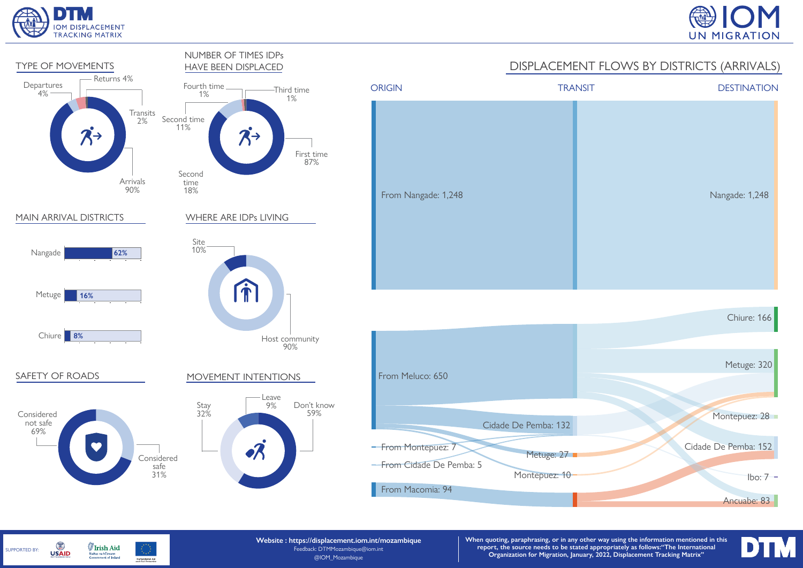







**Website : https://displacement.iom.int/mozambique** Feedback: DTMMozambique@iom.int @IOM\_Mozambique

**When quoting, paraphrasing, or in any other way using the information mentioned in this report, the source needs to be stated appropriately as follows:"The International Organization for Migration, January, 2022, Displacement Tracking Matrix"**